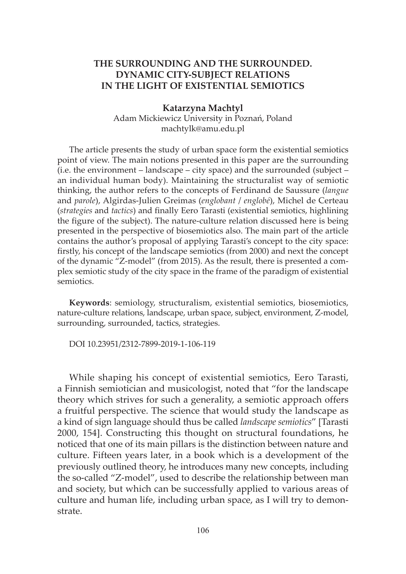# **THE SURROUNDING AND THE SURROUNDED. DYNAMIC CITY-SUBJECT RELATIONS IN THE LIGHT OF EXISTENTIAL SEMIOTICS**

#### **Katarzyna Machtyl**

Adam Mickiewicz University in Poznań, Poland machtylk@amu.edu.pl

The article presents the study of urban space form the existential semiotics point of view. The main notions presented in this paper are the surrounding (i.e. the environment – landscape – city space) and the surrounded (subject – an individual human body). Maintaining the structuralist way of semiotic thinking, the author refers to the concepts of Ferdinand de Saussure (*langue* and *parole*), Algirdas-Julien Greimas (*englobant* / *englobé*), Michel de Certeau (*strategies* and *tactics*) and finally Eero Tarasti (existential semiotics, highlining the figure of the subject). The nature-culture relation discussed here is being presented in the perspective of biosemiotics also. The main part of the article contains the author's proposal of applying Tarasti's concept to the city space: firstly, his concept of the landscape semiotics (from 2000) and next the concept of the dynamic "Z-model" (from 2015). As the result, there is presented a complex semiotic study of the city space in the frame of the paradigm of existential semiotics.

**Keywords**: semiology, structuralism, existential semiotics, biosemiotics, nature-culture relations, landscape, urban space, subject, environment, Z-model, surrounding, surrounded, tactics, strategies.

DOI 10.23951/2312-7899-2019-1-106-119

While shaping his concept of existential semiotics, Eero Tarasti, a Finnish semiotician and musicologist, noted that "for the landscape theory which strives for such a generality, a semiotic approach offers a fruitful perspective. The science that would study the landscape as a kind of sign language should thus be called *landscape semiotics*" [Tarasti 2000, 154]. Constructing this thought on structural foundations, he noticed that one of its main pillars is the distinction between nature and culture. Fifteen years later, in a book which is a development of the previously outlined theory, he introduces many new concepts, including the so-called "Z-model", used to describe the relationship between man and society, but which can be successfully applied to various areas of culture and human life, including urban space, as I will try to demonstrate.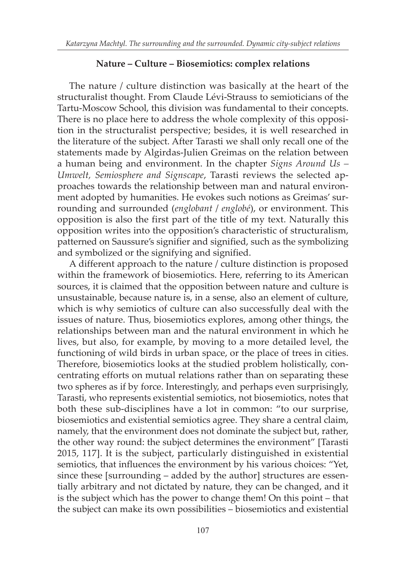### **Nature – Culture – Biosemiotics: complex relations**

The nature / culture distinction was basically at the heart of the structuralist thought. From Claude Lévi-Strauss to semioticians of the Tartu-Moscow School, this division was fundamental to their concepts. There is no place here to address the whole complexity of this opposition in the structuralist perspective; besides, it is well researched in the literature of the subject. After Tarasti we shall only recall one of the statements made by Algirdas-Julien Greimas on the relation between a human being and environment. In the chapter *Signs Around Us – Umwelt, Semiosphere and Signscape*, Tarasti reviews the selected approaches towards the relationship between man and natural environment adopted by humanities. He evokes such notions as Greimas' surrounding and surrounded (*englobant* / *englobé*), or environment. This opposition is also the first part of the title of my text. Naturally this opposition writes into the opposition's characteristic of structuralism, patterned on Saussure's signifier and signified, such as the symbolizing and symbolized or the signifying and signified.

A different approach to the nature / culture distinction is proposed within the framework of biosemiotics. Here, referring to its American sources, it is claimed that the opposition between nature and culture is unsustainable, because nature is, in a sense, also an element of culture, which is why semiotics of culture can also successfully deal with the issues of nature. Thus, biosemiotics explores, among other things, the relationships between man and the natural environment in which he lives, but also, for example, by moving to a more detailed level, the functioning of wild birds in urban space, or the place of trees in cities. Therefore, biosemiotics looks at the studied problem holistically, concentrating efforts on mutual relations rather than on separating these two spheres as if by force. Interestingly, and perhaps even surprisingly, Tarasti, who represents existential semiotics, not biosemiotics, notes that both these sub-disciplines have a lot in common: "to our surprise, biosemiotics and existential semiotics agree. They share a central claim, namely, that the environment does not dominate the subject but, rather, the other way round: the subject determines the environment" [Tarasti 2015, 117]. It is the subject, particularly distinguished in existential semiotics, that influences the environment by his various choices: "Yet, since these [surrounding – added by the author] structures are essentially arbitrary and not dictated by nature, they can be changed, and it is the subject which has the power to change them! On this point – that the subject can make its own possibilities – biosemiotics and existential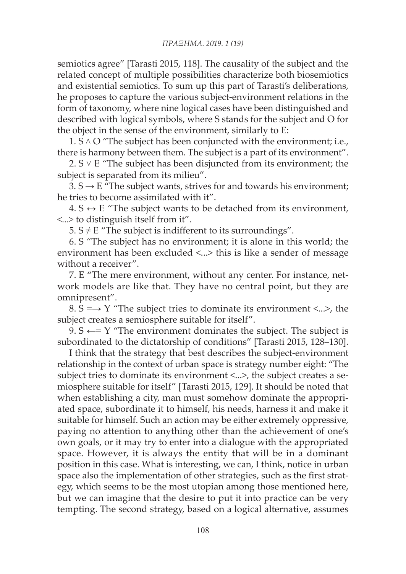semiotics agree" [Tarasti 2015, 118]. The causality of the subject and the related concept of multiple possibilities characterize both biosemiotics and existential semiotics. To sum up this part of Tarasti's deliberations, he proposes to capture the various subject-environment relations in the form of taxonomy, where nine logical cases have been distinguished and described with logical symbols, where S stands for the subject and O for the object in the sense of the environment, similarly to E:

 $1. S \wedge O$  "The subject has been conjuncted with the environment; i.e., there is harmony between them. The subject is a part of its environment".

2.  $S \vee E$  "The subject has been disjuncted from its environment; the subject is separated from its milieu".

 $3. S \rightarrow E$  "The subject wants, strives for and towards his environment; he tries to become assimilated with it".

 $4. S \leftrightarrow E$  "The subject wants to be detached from its environment, <...> to distinguish itself from it".

5.  $S \neq E$  "The subject is indifferent to its surroundings".

6. S "The subject has no environment; it is alone in this world; the environment has been excluded <...> this is like a sender of message without a receiver".

7. E "The mere environment, without any center. For instance, network models are like that. They have no central point, but they are omnipresent".

8.  $S = \rightarrow Y$  "The subject tries to dominate its environment <...>, the subject creates a semiosphere suitable for itself".

9.  $S \leftarrow Y$  "The environment dominates the subject. The subject is subordinated to the dictatorship of conditions" [Tarasti 2015, 128–130].

I think that the strategy that best describes the subject-environment relationship in the context of urban space is strategy number eight: "The subject tries to dominate its environment <...>, the subject creates a semiosphere suitable for itself" [Tarasti 2015, 129]. It should be noted that when establishing a city, man must somehow dominate the appropriated space, subordinate it to himself, his needs, harness it and make it suitable for himself. Such an action may be either extremely oppressive, paying no attention to anything other than the achievement of one's own goals, or it may try to enter into a dialogue with the appropriated space. However, it is always the entity that will be in a dominant position in this case. What is interesting, we can, I think, notice in urban space also the implementation of other strategies, such as the first strategy, which seems to be the most utopian among those mentioned here, but we can imagine that the desire to put it into practice can be very tempting. The second strategy, based on a logical alternative, assumes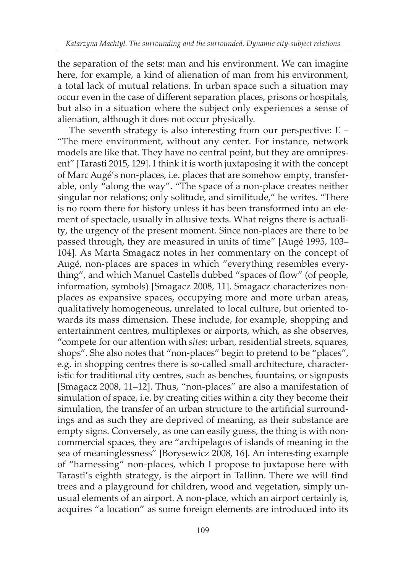the separation of the sets: man and his environment. We can imagine here, for example, a kind of alienation of man from his environment, a total lack of mutual relations. In urban space such a situation may occur even in the case of different separation places, prisons or hospitals, but also in a situation where the subject only experiences a sense of alienation, although it does not occur physically.

The seventh strategy is also interesting from our perspective: E – "The mere environment, without any center. For instance, network models are like that. They have no central point, but they are omnipresent" [Tarasti 2015, 129]. I think it is worth juxtaposing it with the concept of Marc Augé's non-places, i.e. places that are somehow empty, transferable, only "along the way". "The space of a non-place creates neither singular nor relations; only solitude, and similitude," he writes. "There is no room there for history unless it has been transformed into an element of spectacle, usually in allusive texts. What reigns there is actuality, the urgency of the present moment. Since non-places are there to be passed through, they are measured in units of time" [Augé 1995, 103– 104]. As Marta Smagacz notes in her commentary on the concept of Augé, non-places are spaces in which "everything resembles everything", and which Manuel Castells dubbed "spaces of flow" (of people, information, symbols) [Smagacz 2008, 11]. Smagacz characterizes nonplaces as expansive spaces, occupying more and more urban areas, qualitatively homogeneous, unrelated to local culture, but oriented towards its mass dimension. These include, for example, shopping and entertainment centres, multiplexes or airports, which, as she observes, "compete for our attention with *sites*: urban, residential streets, squares, shops". She also notes that "non-places" begin to pretend to be "places", e.g. in shopping centres there is so-called small architecture, characteristic for traditional city centres, such as benches, fountains, or signposts [Smagacz 2008, 11–12]. Thus, "non-places" are also a manifestation of simulation of space, i.e. by creating cities within a city they become their simulation, the transfer of an urban structure to the artificial surroundings and as such they are deprived of meaning, as their substance are empty signs. Conversely, as one can easily guess, the thing is with noncommercial spaces, they are "archipelagos of islands of meaning in the sea of meaninglessness" [Borysewicz 2008, 16]. An interesting example of "harnessing" non-places, which I propose to juxtapose here with Tarasti's eighth strategy, is the airport in Tallinn. There we will find trees and a playground for children, wood and vegetation, simply unusual elements of an airport. A non-place, which an airport certainly is, acquires "a location" as some foreign elements are introduced into its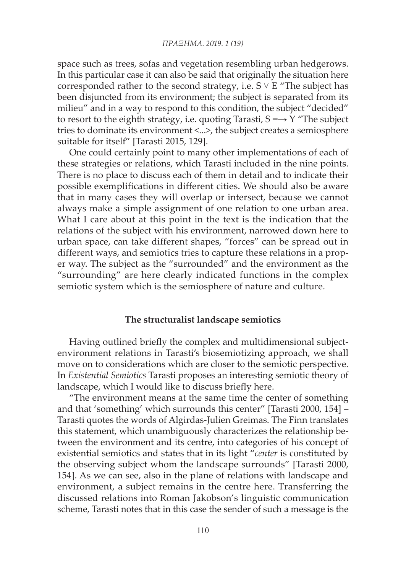space such as trees, sofas and vegetation resembling urban hedgerows. In this particular case it can also be said that originally the situation here corresponded rather to the second strategy, i.e.  $S \vee E$  "The subject has been disjuncted from its environment; the subject is separated from its milieu" and in a way to respond to this condition, the subject "decided" to resort to the eighth strategy, i.e. quoting Tarasti,  $S \rightarrow Y$  "The subject" tries to dominate its environment <...>, the subject creates a semiosphere suitable for itself" [Tarasti 2015, 129].

One could certainly point to many other implementations of each of these strategies or relations, which Tarasti included in the nine points. There is no place to discuss each of them in detail and to indicate their possible exemplifications in different cities. We should also be aware that in many cases they will overlap or intersect, because we cannot always make a simple assignment of one relation to one urban area. What I care about at this point in the text is the indication that the relations of the subject with his environment, narrowed down here to urban space, can take different shapes, "forces" can be spread out in different ways, and semiotics tries to capture these relations in a proper way. The subject as the "surrounded" and the environment as the "surrounding" are here clearly indicated functions in the complex semiotic system which is the semiosphere of nature and culture.

### **The structuralist landscape semiotics**

Having outlined briefly the complex and multidimensional subjectenvironment relations in Tarasti's biosemiotizing approach, we shall move on to considerations which are closer to the semiotic perspective. In *Existential Semiotics* Tarasti proposes an interesting semiotic theory of landscape, which I would like to discuss briefly here.

"The environment means at the same time the center of something and that 'something' which surrounds this center" [Tarasti 2000, 154] – Tarasti quotes the words of Algirdas-Julien Greimas. The Finn translates this statement, which unambiguously characterizes the relationship between the environment and its centre, into categories of his concept of existential semiotics and states that in its light "*center* is constituted by the observing subject whom the landscape surrounds" [Tarasti 2000, 154]. As we can see, also in the plane of relations with landscape and environment, a subject remains in the centre here. Transferring the discussed relations into Roman Jakobson's linguistic communication scheme, Tarasti notes that in this case the sender of such a message is the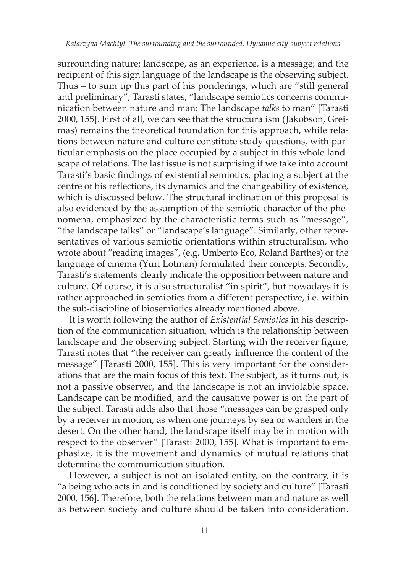surrounding nature; landscape, as an experience, is a message; and the recipient of this sign language of the landscape is the observing subject. Thus – to sum up this part of his ponderings, which are "still general and preliminary", Tarasti states, "landscape semiotics concerns communication between nature and man: The landscape *talks* to man" [Tarasti 2000, 155]. First of all, we can see that the structuralism (Jakobson, Greimas) remains the theoretical foundation for this approach, while relations between nature and culture constitute study questions, with particular emphasis on the place occupied by a subject in this whole landscape of relations. The last issue is not surprising if we take into account Tarasti's basic findings of existential semiotics, placing a subject at the centre of his reflections, its dynamics and the changeability of existence, which is discussed below. The structural inclination of this proposal is also evidenced by the assumption of the semiotic character of the phenomena, emphasized by the characteristic terms such as "message", "the landscape talks" or "landscape's language". Similarly, other representatives of various semiotic orientations within structuralism, who wrote about "reading images", (e.g. Umberto Eco, Roland Barthes) or the language of cinema (Yuri Lotman) formulated their concepts. Secondly, Tarasti's statements clearly indicate the opposition between nature and culture. Of course, it is also structuralist "in spirit", but nowadays it is rather approached in semiotics from a different perspective, i.e. within the sub-discipline of biosemiotics already mentioned above.

It is worth following the author of *Existential Semiotics* in his description of the communication situation, which is the relationship between landscape and the observing subject. Starting with the receiver figure, Tarasti notes that "the receiver can greatly influence the content of the message" [Tarasti 2000, 155]. This is very important for the considerations that are the main focus of this text. The subject, as it turns out, is not a passive observer, and the landscape is not an inviolable space. Landscape can be modified, and the causative power is on the part of the subject. Tarasti adds also that those "messages can be grasped only by a receiver in motion, as when one journeys by sea or wanders in the desert. On the other hand, the landscape itself may be in motion with respect to the observer" [Tarasti 2000, 155]. What is important to emphasize, it is the movement and dynamics of mutual relations that determine the communication situation.

However, a subject is not an isolated entity, on the contrary, it is "a being who acts in and is conditioned by society and culture" [Tarasti 2000, 156]. Therefore, both the relations between man and nature as well as between society and culture should be taken into consideration.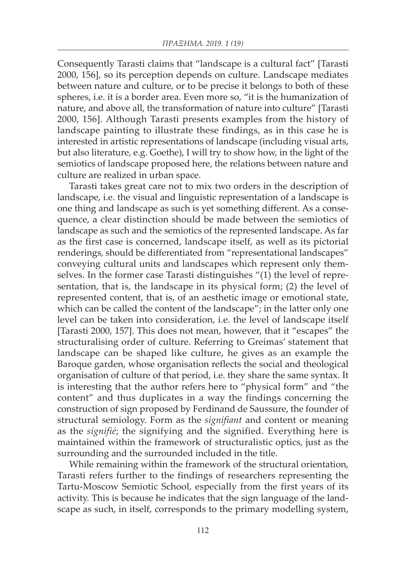Consequently Tarasti claims that "landscape is a cultural fact" [Tarasti 2000, 156], so its perception depends on culture. Landscape mediates between nature and culture, or to be precise it belongs to both of these spheres, i.e. it is a border area. Even more so, "it is the humanization of nature, and above all, the transformation of nature into culture" [Tarasti 2000, 156]. Although Tarasti presents examples from the history of landscape painting to illustrate these findings, as in this case he is interested in artistic representations of landscape (including visual arts, but also literature, e.g. Goethe), I will try to show how, in the light of the semiotics of landscape proposed here, the relations between nature and culture are realized in urban space.

Tarasti takes great care not to mix two orders in the description of landscape, i.e. the visual and linguistic representation of a landscape is one thing and landscape as such is yet something different. As a consequence, a clear distinction should be made between the semiotics of landscape as such and the semiotics of the represented landscape. As far as the first case is concerned, landscape itself, as well as its pictorial renderings, should be differentiated from "representational landscapes" conveying cultural units and landscapes which represent only themselves. In the former case Tarasti distinguishes "(1) the level of representation, that is, the landscape in its physical form; (2) the level of represented content, that is, of an aesthetic image or emotional state, which can be called the content of the landscape"; in the latter only one level can be taken into consideration, i.e. the level of landscape itself [Tarasti 2000, 157]. This does not mean, however, that it "escapes" the structuralising order of culture. Referring to Greimas' statement that landscape can be shaped like culture, he gives as an example the Baroque garden, whose organisation reflects the social and theological organisation of culture of that period, i.e. they share the same syntax. It is interesting that the author refers here to "physical form" and "the content" and thus duplicates in a way the findings concerning the construction of sign proposed by Ferdinand de Saussure, the founder of structural semiology. Form as the *signifiant* and content or meaning as the *signifié*; the signifying and the signified. Everything here is maintained within the framework of structuralistic optics, just as the surrounding and the surrounded included in the title.

While remaining within the framework of the structural orientation, Tarasti refers further to the findings of researchers representing the Tartu-Moscow Semiotic School, especially from the first years of its activity. This is because he indicates that the sign language of the landscape as such, in itself, corresponds to the primary modelling system,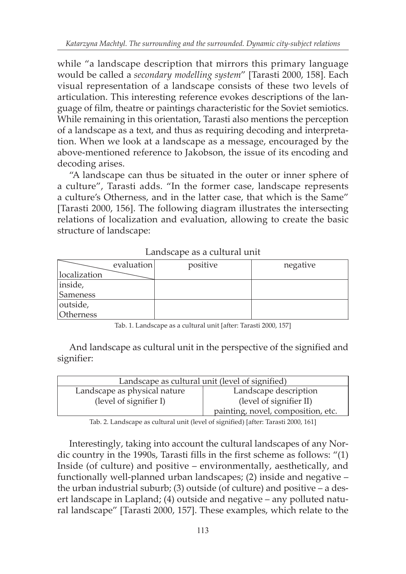while "a landscape description that mirrors this primary language would be called a *secondary modelling system*" [Tarasti 2000, 158]. Each visual representation of a landscape consists of these two levels of articulation. This interesting reference evokes descriptions of the language of film, theatre or paintings characteristic for the Soviet semiotics. While remaining in this orientation, Tarasti also mentions the perception of a landscape as a text, and thus as requiring decoding and interpretation. When we look at a landscape as a message, encouraged by the above-mentioned reference to Jakobson, the issue of its encoding and decoding arises.

"A landscape can thus be situated in the outer or inner sphere of a culture", Tarasti adds. "In the former case, landscape represents a culture's Otherness, and in the latter case, that which is the Same" [Tarasti 2000, 156]. The following diagram illustrates the intersecting relations of localization and evaluation, allowing to create the basic structure of landscape:

|                 | evaluation | positive | negative |
|-----------------|------------|----------|----------|
| localization    |            |          |          |
| inside,         |            |          |          |
| <b>Sameness</b> |            |          |          |
| outside,        |            |          |          |
| Otherness       |            |          |          |

Landscape as a cultural unit

Tab. 1. Landscape as a cultural unit [after: Tarasti 2000, 157]

And landscape as cultural unit in the perspective of the signified and signifier:

| Landscape as cultural unit (level of signified) |                                    |  |  |
|-------------------------------------------------|------------------------------------|--|--|
| Landscape as physical nature                    | Landscape description              |  |  |
| (level of signifier I)                          | (level of signifier II)            |  |  |
|                                                 | painting, novel, composition, etc. |  |  |

Tab. 2. Landscape as cultural unit (level of signified) [after: Tarasti 2000, 161]

Interestingly, taking into account the cultural landscapes of any Nordic country in the 1990s, Tarasti fills in the first scheme as follows: "(1) Inside (of culture) and positive – environmentally, aesthetically, and functionally well-planned urban landscapes; (2) inside and negative – the urban industrial suburb; (3) outside (of culture) and positive – a desert landscape in Lapland; (4) outside and negative – any polluted natural landscape" [Tarasti 2000, 157]. These examples, which relate to the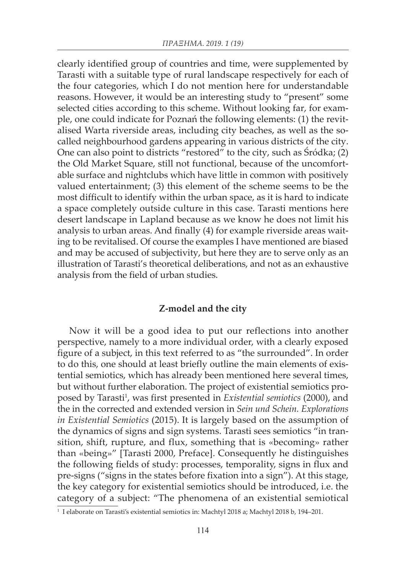clearly identified group of countries and time, were supplemented by Tarasti with a suitable type of rural landscape respectively for each of the four categories, which I do not mention here for understandable reasons. However, it would be an interesting study to "present" some selected cities according to this scheme. Without looking far, for example, one could indicate for Poznań the following elements: (1) the revitalised Warta riverside areas, including city beaches, as well as the socalled neighbourhood gardens appearing in various districts of the city. One can also point to districts "restored" to the city, such as Śródka; (2) the Old Market Square, still not functional, because of the uncomfortable surface and nightclubs which have little in common with positively valued entertainment; (3) this element of the scheme seems to be the most difficult to identify within the urban space, as it is hard to indicate a space completely outside culture in this case. Tarasti mentions here desert landscape in Lapland because as we know he does not limit his analysis to urban areas. And finally (4) for example riverside areas waiting to be revitalised. Of course the examples I have mentioned are biased and may be accused of subjectivity, but here they are to serve only as an illustration of Tarasti's theoretical deliberations, and not as an exhaustive analysis from the field of urban studies.

#### **Z-model and the city**

Now it will be a good idea to put our reflections into another perspective, namely to a more individual order, with a clearly exposed figure of a subject, in this text referred to as "the surrounded". In order to do this, one should at least briefly outline the main elements of existential semiotics, which has already been mentioned here several times, but without further elaboration. The project of existential semiotics proposed by Tarasti<sup>1</sup>, was first presented in *Existential semiotics* (2000), and the in the corrected and extended version in *Sein und Schein. Explorations in Existential Semiotics* (2015). It is largely based on the assumption of the dynamics of signs and sign systems. Tarasti sees semiotics "in transition, shift, rupture, and flux, something that is «becoming» rather than «being»" [Tarasti 2000, Preface]. Consequently he distinguishes the following fields of study: processes, temporality, signs in flux and pre-signs ("signs in the states before fixation into a sign"). At this stage, the key category for existential semiotics should be introduced, i.e. the category of a subject: "The phenomena of an existential semiotical

<sup>1</sup> I elaborate on Tarasti's existential semiotics in: Machtyl 2018 a; Machtyl 2018 b, 194–201.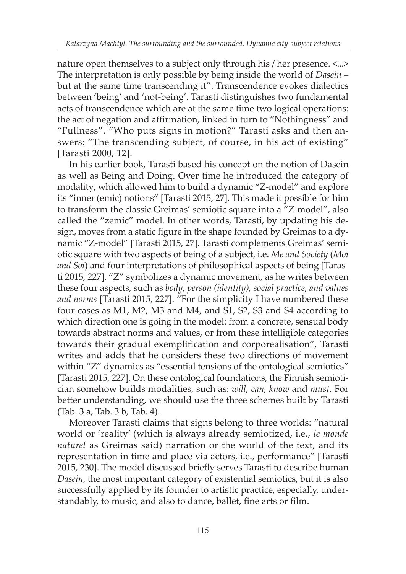nature open themselves to a subject only through his / her presence. <...> The interpretation is only possible by being inside the world of *Dasein* – but at the same time transcending it". Transcendence evokes dialectics between 'being' and 'not-being'. Tarasti distinguishes two fundamental acts of transcendence which are at the same time two logical operations: the act of negation and affirmation, linked in turn to "Nothingness" and "Fullness". "Who puts signs in motion?" Tarasti asks and then answers: "The transcending subject, of course, in his act of existing" [Tarasti 2000, 12].

In his earlier book, Tarasti based his concept on the notion of Dasein as well as Being and Doing. Over time he introduced the category of modality, which allowed him to build a dynamic "Z-model" and explore its "inner (emic) notions" [Tarasti 2015, 27]. This made it possible for him to transform the classic Greimas' semiotic square into a "Z-model", also called the "zemic" model. In other words, Tarasti, by updating his design, moves from a static figure in the shape founded by Greimas to a dynamic "Z-model" [Tarasti 2015, 27]. Tarasti complements Greimas' semiotic square with two aspects of being of a subject, i.e. *Me and Society* (*Moi and Soi*) and four interpretations of philosophical aspects of being [Tarasti 2015, 227]. "Z" symbolizes a dynamic movement, as he writes between these four aspects, such as *body, person (identity), social practice, and values and norms* [Tarasti 2015, 227]. "For the simplicity I have numbered these four cases as M1, M2, M3 and M4, and S1, S2, S3 and S4 according to which direction one is going in the model: from a concrete, sensual body towards abstract norms and values, or from these intelligible categories towards their gradual exemplification and corporealisation", Tarasti writes and adds that he considers these two directions of movement within "Z" dynamics as "essential tensions of the ontological semiotics" [Tarasti 2015, 227]. On these ontological foundations, the Finnish semiotician somehow builds modalities, such as: *will, can, know* and *must*. For better understanding, we should use the three schemes built by Tarasti (Tab. 3 a, Tab. 3 b, Tab. 4).

Moreover Tarasti claims that signs belong to three worlds: "natural world or 'reality' (which is always already semiotized, i.e., *le monde naturel* as Greimas said) narration or the world of the text, and its representation in time and place via actors, i.e., performance" [Tarasti 2015, 230]. The model discussed briefly serves Tarasti to describe human *Dasein*, the most important category of existential semiotics, but it is also successfully applied by its founder to artistic practice, especially, understandably, to music, and also to dance, ballet, fine arts or film.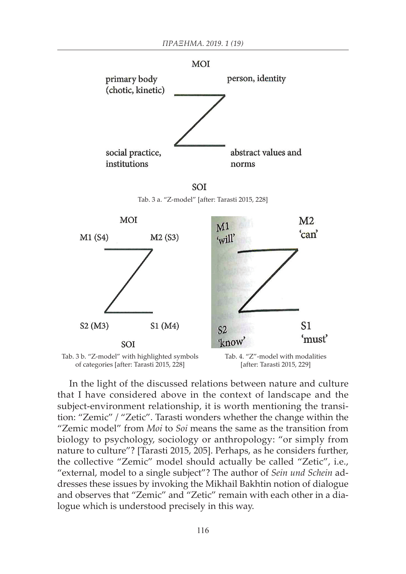

SOI Tab. 3 a. "Z-model" [after: Tarasti 2015, 228]





In the light of the discussed relations between nature and culture that I have considered above in the context of landscape and the subject-environment relationship, it is worth mentioning the transition: "Zemic" / "Zetic". Tarasti wonders whether the change within the "Zemic model" from *Moi* to *Soi* means the same as the transition from biology to psychology, sociology or anthropology: "or simply from nature to culture"? [Tarasti 2015, 205]. Perhaps, as he considers further, the collective "Zemic" model should actually be called "Zetic", i.e., "external, model to a single subject"? The author of *Sein und Schein* addresses these issues by invoking the Mikhail Bakhtin notion of dialogue and observes that "Zemic" and "Zetic" remain with each other in a dialogue which is understood precisely in this way.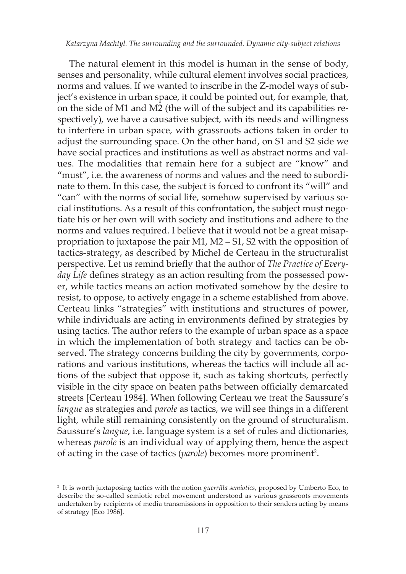The natural element in this model is human in the sense of body, senses and personality, while cultural element involves social practices, norms and values. If we wanted to inscribe in the Z-model ways of subject's existence in urban space, it could be pointed out, for example, that, on the side of M1 and M2 (the will of the subject and its capabilities respectively), we have a causative subject, with its needs and willingness to interfere in urban space, with grassroots actions taken in order to adjust the surrounding space. On the other hand, on S1 and S2 side we have social practices and institutions as well as abstract norms and values. The modalities that remain here for a subject are "know" and "must", i.e. the awareness of norms and values and the need to subordinate to them. In this case, the subject is forced to confront its "will" and "can" with the norms of social life, somehow supervised by various social institutions. As a result of this confrontation, the subject must negotiate his or her own will with society and institutions and adhere to the norms and values required. I believe that it would not be a great misappropriation to juxtapose the pair M1, M2 – S1, S2 with the opposition of tactics-strategy, as described by Michel de Certeau in the structuralist perspective. Let us remind briefly that the author of *The Practice of Everyday Life* defines strategy as an action resulting from the possessed power, while tactics means an action motivated somehow by the desire to resist, to oppose, to actively engage in a scheme established from above. Certeau links "strategies" with institutions and structures of power, while individuals are acting in environments defined by strategies by using tactics. The author refers to the example of urban space as a space in which the implementation of both strategy and tactics can be observed. The strategy concerns building the city by governments, corporations and various institutions, whereas the tactics will include all actions of the subject that oppose it, such as taking shortcuts, perfectly visible in the city space on beaten paths between officially demarcated streets [Certeau 1984]. When following Certeau we treat the Saussure's *langue* as strategies and *parole* as tactics, we will see things in a different light, while still remaining consistently on the ground of structuralism. Saussure's *langue*, i.e. language system is a set of rules and dictionaries, whereas *parole* is an individual way of applying them, hence the aspect of acting in the case of tactics (*parole*) becomes more prominent<sup>2</sup>.

<sup>2</sup> It is worth juxtaposing tactics with the notion *guerrilla semiotics*, proposed by Umberto Eco, to describe the so-called semiotic rebel movement understood as various grassroots movements undertaken by recipients of media transmissions in opposition to their senders acting by means of strategy [Eco 1986].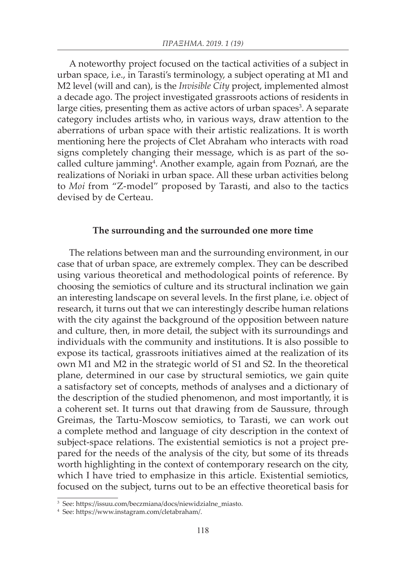A noteworthy project focused on the tactical activities of a subject in urban space, i.e., in Tarasti's terminology, a subject operating at M1 and M2 level (will and can), is the *Invisible City* project, implemented almost a decade ago. The project investigated grassroots actions of residents in large cities, presenting them as active actors of urban spaces<sup>3</sup>. A separate category includes artists who, in various ways, draw attention to the aberrations of urban space with their artistic realizations. It is worth mentioning here the projects of Clet Abraham who interacts with road signs completely changing their message, which is as part of the socalled culture jamming4 . Another example, again from Poznań, are the realizations of Noriaki in urban space. All these urban activities belong to *Moi* from "Z-model" proposed by Tarasti, and also to the tactics devised by de Certeau.

### **The surrounding and the surrounded one more time**

The relations between man and the surrounding environment, in our case that of urban space, are extremely complex. They can be described using various theoretical and methodological points of reference. By choosing the semiotics of culture and its structural inclination we gain an interesting landscape on several levels. In the first plane, i.e. object of research, it turns out that we can interestingly describe human relations with the city against the background of the opposition between nature and culture, then, in more detail, the subject with its surroundings and individuals with the community and institutions. It is also possible to expose its tactical, grassroots initiatives aimed at the realization of its own M1 and M2 in the strategic world of S1 and S2. In the theoretical plane, determined in our case by structural semiotics, we gain quite a satisfactory set of concepts, methods of analyses and a dictionary of the description of the studied phenomenon, and most importantly, it is a coherent set. It turns out that drawing from de Saussure, through Greimas, the Tartu-Moscow semiotics, to Tarasti, we can work out a complete method and language of city description in the context of subject-space relations. The existential semiotics is not a project prepared for the needs of the analysis of the city, but some of its threads worth highlighting in the context of contemporary research on the city, which I have tried to emphasize in this article. Existential semiotics, focused on the subject, turns out to be an effective theoretical basis for

<sup>3</sup> See: https://issuu.com/beczmiana/docs/niewidzialne\_miasto.

<sup>4</sup> See: https://www.instagram.com/cletabraham/.